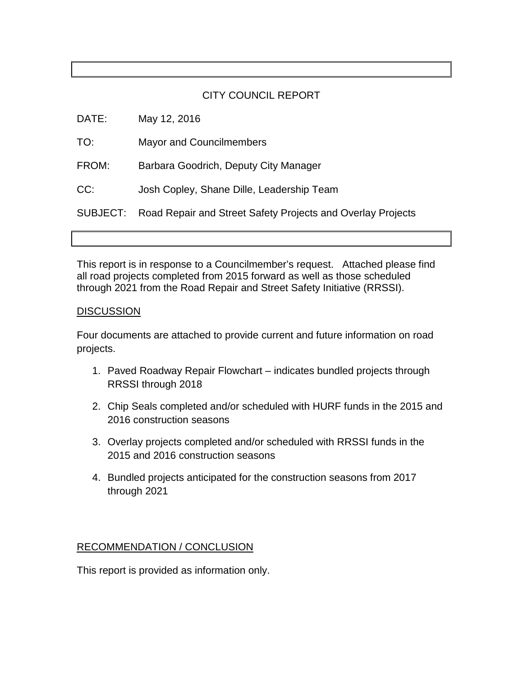#### CITY COUNCIL REPORT

| DATE:    | May 12, 2016                                                |
|----------|-------------------------------------------------------------|
| TO:      | <b>Mayor and Councilmembers</b>                             |
| FROM:    | Barbara Goodrich, Deputy City Manager                       |
| CC:      | Josh Copley, Shane Dille, Leadership Team                   |
| SUBJECT: | Road Repair and Street Safety Projects and Overlay Projects |
|          |                                                             |

This report is in response to a Councilmember's request. Attached please find all road projects completed from 2015 forward as well as those scheduled through 2021 from the Road Repair and Street Safety Initiative (RRSSI).

#### **DISCUSSION**

Four documents are attached to provide current and future information on road projects.

- 1. Paved Roadway Repair Flowchart indicates bundled projects through RRSSI through 2018
- 2. Chip Seals completed and/or scheduled with HURF funds in the 2015 and 2016 construction seasons
- 3. Overlay projects completed and/or scheduled with RRSSI funds in the 2015 and 2016 construction seasons
- 4. Bundled projects anticipated for the construction seasons from 2017 through 2021

#### RECOMMENDATION / CONCLUSION

This report is provided as information only.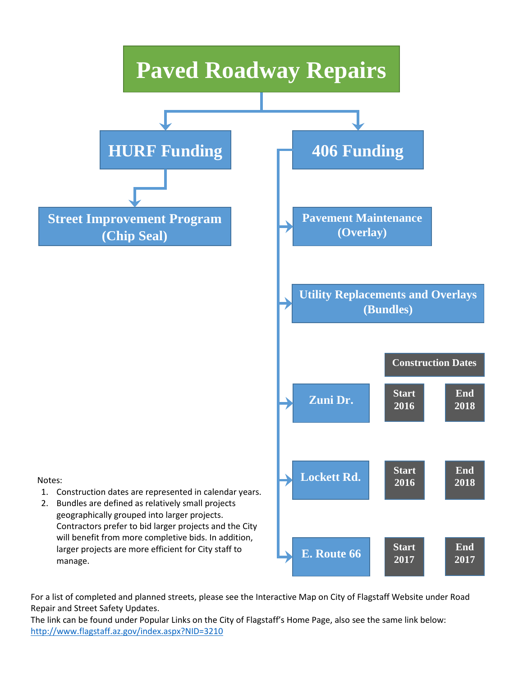

For a list of completed and planned streets, please see the Interactive Map on City of Flagstaff Website under Road Repair and Street Safety Updates.

The link can be found under Popular Links on the City of Flagstaff's Home Page, also see the same link below: <http://www.flagstaff.az.gov/index.aspx?NID=3210>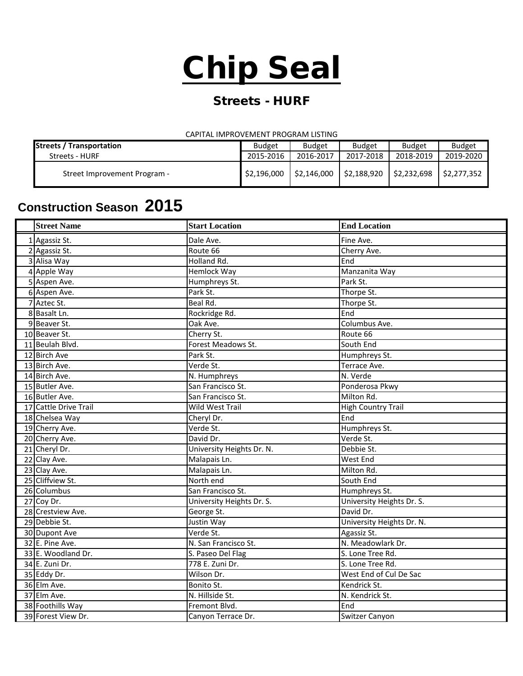# Chip Seal

## Streets - HURF

#### CAPITAL IMPROVEMENT PROGRAM LISTING

| <b>Streets / Transportation</b> | <b>Budget</b> | <b>Budget</b> | <b>Budget</b> | <b>Budget</b> | <b>Budget</b> |
|---------------------------------|---------------|---------------|---------------|---------------|---------------|
| Streets - HURF                  | 2015-2016     | 2016-2017     | 2017-2018     | 2018-2019     | 2019-2020     |
| Street Improvement Program -    | \$2,196,000   | \$2,146,000   | \$2,188,920   | \$2,232,698   | \$2.277.352   |

# **Construction Season 2015**

| <b>Street Name</b>    | <b>Start Location</b>     | <b>End Location</b>       |
|-----------------------|---------------------------|---------------------------|
| 1 Agassiz St.         | Dale Ave.                 | Fine Ave.                 |
| 2 Agassiz St.         | Route 66                  | Cherry Ave.               |
| 3 Alisa Way           | Holland Rd.               | End                       |
| 4 Apple Way           | Hemlock Way               | Manzanita Way             |
| 5 Aspen Ave.          | Humphreys St.             | Park St.                  |
| 6 Aspen Ave.          | Park St.                  | Thorpe St.                |
| 7 Aztec St.           | Beal Rd.                  | Thorpe St.                |
| 8 Basalt Ln.          | Rockridge Rd.             | End                       |
| 9 Beaver St.          | Oak Ave.                  | Columbus Ave.             |
| 10 Beaver St.         | Cherry St.                | Route 66                  |
| 11 Beulah Blvd.       | <b>Forest Meadows St.</b> | South End                 |
| 12 Birch Ave          | Park St.                  | Humphreys St.             |
| 13 Birch Ave.         | Verde St.                 | Terrace Ave.              |
| 14 Birch Ave.         | N. Humphreys              | N. Verde                  |
| 15 Butler Ave.        | San Francisco St.         | Ponderosa Pkwy            |
| 16 Butler Ave.        | San Francisco St.         | Milton Rd.                |
| 17 Cattle Drive Trail | <b>Wild West Trail</b>    | <b>High Country Trail</b> |
| 18 Chelsea Way        | Cheryl Dr.                | End                       |
| 19 Cherry Ave.        | Verde St.                 | Humphreys St.             |
| 20 Cherry Ave.        | David Dr.                 | Verde St.                 |
| 21 Cheryl Dr.         | University Heights Dr. N. | Debbie St.                |
| 22 Clay Ave.          | Malapais Ln.              | <b>West End</b>           |
| 23 Clay Ave.          | Malapais Ln.              | Milton Rd.                |
| 25 Cliffview St.      | North end                 | South End                 |
| 26 Columbus           | San Francisco St.         | Humphreys St.             |
| 27 Coy Dr.            | University Heights Dr. S. | University Heights Dr. S. |
| 28 Crestview Ave.     | George St.                | David Dr.                 |
| 29 Debbie St.         | Justin Way                | University Heights Dr. N. |
| 30 Dupont Ave         | Verde St.                 | Agassiz St.               |
| 32 E. Pine Ave.       | N. San Francisco St.      | N. Meadowlark Dr.         |
| 33 E. Woodland Dr.    | S. Paseo Del Flag         | S. Lone Tree Rd.          |
| 34 E. Zuni Dr.        | 778 E. Zuni Dr.           | S. Lone Tree Rd.          |
| 35 Eddy Dr.           | Wilson Dr.                | West End of Cul De Sac    |
| 36 Elm Ave.           | Bonito St.                | Kendrick St.              |
| 37 Elm Ave.           | N. Hillside St.           | N. Kendrick St.           |
| 38 Foothills Way      | Fremont Blvd.             | End                       |
| 39 Forest View Dr.    | Canyon Terrace Dr.        | Switzer Canyon            |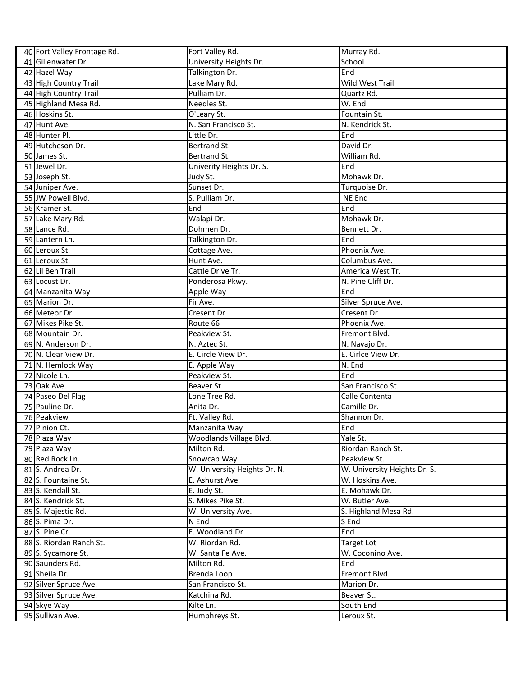| 40 Fort Valley Frontage Rd. | Fort Valley Rd.              | Murray Rd.                   |
|-----------------------------|------------------------------|------------------------------|
| 41 Gillenwater Dr.          | University Heights Dr.       | School                       |
| 42 Hazel Way                | Talkington Dr.               | End                          |
| 43 High Country Trail       | Lake Mary Rd.                | Wild West Trail              |
| 44 High Country Trail       | Pulliam Dr.                  | Quartz Rd.                   |
| 45 Highland Mesa Rd.        | Needles St.                  | W. End                       |
| 46 Hoskins St.              | O'Leary St.                  | Fountain St.                 |
| 47 Hunt Ave.                | N. San Francisco St.         | N. Kendrick St.              |
| 48 Hunter Pl.               | Little Dr.                   | End                          |
| 49 Hutcheson Dr.            | Bertrand St.                 | David Dr.                    |
| 50 James St.                | Bertrand St.                 | William Rd.                  |
| 51 Jewel Dr.                | Univerity Heights Dr. S.     | End                          |
| 53 Joseph St.               | Judy St.                     | Mohawk Dr.                   |
| 54 Juniper Ave.             | Sunset Dr.                   | Turquoise Dr.                |
| 55 JW Powell Blvd.          | S. Pulliam Dr.               | NE End                       |
| 56 Kramer St.               | End                          | End                          |
| 57 Lake Mary Rd.            | Walapi Dr.                   | Mohawk Dr.                   |
| 58 Lance Rd.                | Dohmen Dr.                   | Bennett Dr.                  |
| 59 Lantern Ln.              | Talkington Dr.               | End                          |
| 60 Leroux St.               | Cottage Ave.                 | Phoenix Ave.                 |
| 61 Leroux St.               | Hunt Ave.                    | Columbus Ave.                |
| 62 Lil Ben Trail            | Cattle Drive Tr.             | America West Tr.             |
| 63 Locust Dr.               | Ponderosa Pkwy.              | N. Pine Cliff Dr.            |
| 64 Manzanita Way            | Apple Way                    | End                          |
| 65 Marion Dr.               | Fir Ave.                     | Silver Spruce Ave.           |
| 66 Meteor Dr.               | Cresent Dr.                  | Cresent Dr.                  |
| 67 Mikes Pike St.           | Route 66                     | Phoenix Ave.                 |
| 68 Mountain Dr.             | Peakview St.                 | Fremont Blvd.                |
| 69 N. Anderson Dr.          | N. Aztec St.                 | N. Navajo Dr.                |
| 70 N. Clear View Dr.        | E. Circle View Dr.           | E. Cirlce View Dr.           |
| 71 N. Hemlock Way           | E. Apple Way                 | N. End                       |
| 72 Nicole Ln.               | Peakview St.                 | End                          |
| 73 Oak Ave.                 | Beaver St.                   | San Francisco St.            |
| 74 Paseo Del Flag           | Lone Tree Rd.                | Calle Contenta               |
| 75 Pauline Dr.              | Anita Dr.                    | Camille Dr.                  |
| 76 Peakview                 | Ft. Valley Rd.               | Shannon Dr.                  |
| 77 Pinion Ct.               | Manzanita Way                | End                          |
| 78 Plaza Way                | Woodlands Village Blvd.      | Yale St.                     |
| 79 Plaza Way                | Milton Rd.                   | Riordan Ranch St.            |
| 80 Red Rock Ln.             | Snowcap Way                  | Peakview St.                 |
| 81 S. Andrea Dr.            | W. University Heights Dr. N. | W. University Heights Dr. S. |
| 82 S. Fountaine St.         | E. Ashurst Ave.              | W. Hoskins Ave.              |
| 83 S. Kendall St.           | E. Judy St.                  | E. Mohawk Dr.                |
| 84 S. Kendrick St.          | S. Mikes Pike St.            | W. Butler Ave.               |
| 85 S. Majestic Rd.          | W. University Ave.           | S. Highland Mesa Rd.         |
| 86 S. Pima Dr.              | N End                        | S End                        |
| 87 S. Pine Cr.              | E. Woodland Dr.              | End                          |
| 88 S. Riordan Ranch St.     | W. Riordan Rd.               | <b>Target Lot</b>            |
| 89 S. Sycamore St.          | W. Santa Fe Ave.             | W. Coconino Ave.             |
| 90 Saunders Rd.             | Milton Rd.                   | End                          |
| 91 Sheila Dr.               | Brenda Loop                  | Fremont Blvd.                |
| 92 Silver Spruce Ave.       | San Francisco St.            | Marion Dr.                   |
| 93 Silver Spruce Ave.       | Katchina Rd.                 | Beaver St.                   |
| 94 Skye Way                 | Kilte Ln.                    | South End                    |
| 95 Sullivan Ave.            | Humphreys St.                | Leroux St.                   |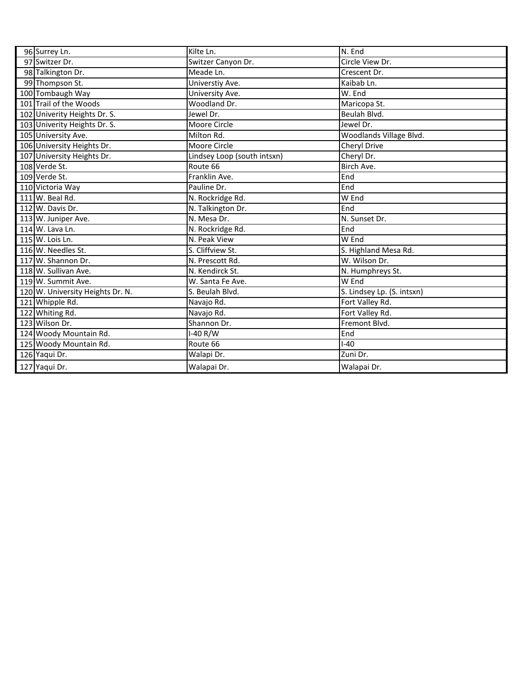| 96 Surrey Ln.                    | Kilte Ln.                   | N. End                     |
|----------------------------------|-----------------------------|----------------------------|
| 97 Switzer Dr.                   | Switzer Canyon Dr.          | Circle View Dr.            |
| 98 Talkington Dr.                | Meade Ln.                   | Crescent Dr.               |
| 99 Thompson St.                  | Universtiy Ave.             | Kaibab Ln.                 |
| 100 Tombaugh Way                 | University Ave.             | W. End                     |
| 101 Trail of the Woods           | Woodland Dr.                | Maricopa St.               |
| 102 Univerity Heights Dr. S.     | Jewel Dr.                   | Beulah Blvd.               |
| 103 Univerity Heights Dr. S.     | Moore Circle                | Jewel Dr.                  |
| 105 University Ave.              | Milton Rd.                  | Woodlands Village Blvd.    |
| 106 University Heights Dr.       | Moore Circle                | Cheryl Drive               |
| 107 University Heights Dr.       | Lindsey Loop (south intsxn) | Cheryl Dr.                 |
| 108 Verde St.                    | Route 66                    | Birch Ave.                 |
| 109 Verde St.                    | Franklin Ave.               | End                        |
| 110 Victoria Way                 | Pauline Dr.                 | End                        |
| 111 W. Beal Rd.                  | N. Rockridge Rd.            | W End                      |
| 112 W. Davis Dr.                 | N. Talkington Dr.           | End                        |
| 113 W. Juniper Ave.              | N. Mesa Dr.                 | N. Sunset Dr.              |
| 114 W. Lava Ln.                  | N. Rockridge Rd.            | End                        |
| 115 W. Lois Ln.                  | N. Peak View                | W End                      |
| 116 W. Needles St.               | S. Cliffview St.            | S. Highland Mesa Rd.       |
| 117 W. Shannon Dr.               | N. Prescott Rd.             | W. Wilson Dr.              |
| 118 W. Sullivan Ave.             | N. Kendirck St.             | N. Humphreys St.           |
| 119 W. Summit Ave.               | W. Santa Fe Ave.            | W End                      |
| 120 W. University Heights Dr. N. | S. Beulah Blvd.             | S. Lindsey Lp. (S. intsxn) |
| 121 Whipple Rd.                  | Navajo Rd.                  | Fort Valley Rd.            |
| 122 Whiting Rd.                  | Navajo Rd.                  | Fort Valley Rd.            |
| 123 Wilson Dr.                   | Shannon Dr.                 | Fremont Blvd.              |
| 124 Woody Mountain Rd.           | I-40 R/W                    | End                        |
| 125 Woody Mountain Rd.           | Route 66                    | $I - 40$                   |
| 126 Yaqui Dr.                    | Walapi Dr.                  | Zuni Dr.                   |
| 127 Yaqui Dr.                    | Walapai Dr.                 | Walapai Dr.                |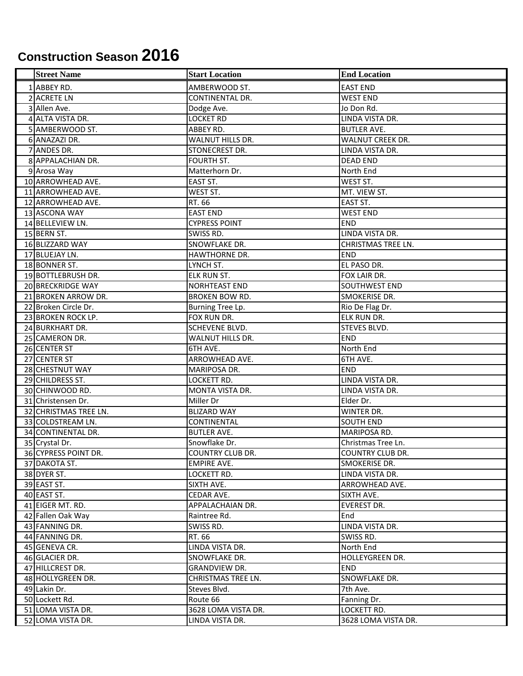# **Construction Season 2016**

| <b>Street Name</b>    | <b>Start Location</b>   | <b>End Location</b>       |
|-----------------------|-------------------------|---------------------------|
| 1 ABBEY RD.           | AMBERWOOD ST.           | <b>EAST END</b>           |
| 2 ACRETE LN           | CONTINENTAL DR.         | <b>WEST END</b>           |
| 3 Allen Ave.          | Dodge Ave.              | Jo Don Rd.                |
| 4 ALTA VISTA DR.      | <b>LOCKET RD</b>        | LINDA VISTA DR.           |
| 5 AMBERWOOD ST.       | ABBEY RD.               | <b>BUTLER AVE.</b>        |
| 6 ANAZAZI DR.         | WALNUT HILLS DR.        | WALNUT CREEK DR.          |
| 7 ANDES DR.           | STONECREST DR.          | LINDA VISTA DR.           |
| 8 APPALACHIAN DR.     | FOURTH ST.              | <b>DEAD END</b>           |
| 9 Arosa Way           | Matterhorn Dr.          | North End                 |
| 10 ARROWHEAD AVE.     | EAST ST.                | WEST ST.                  |
| 11 ARROWHEAD AVE.     | WEST ST.                | MT. VIEW ST.              |
| 12 ARROWHEAD AVE.     | RT. 66                  | EAST ST.                  |
| 13 ASCONA WAY         | <b>EAST END</b>         | <b>WEST END</b>           |
| 14 BELLEVIEW LN.      | <b>CYPRESS POINT</b>    | <b>END</b>                |
| 15 BERN ST.           | SWISS RD.               | LINDA VISTA DR.           |
| 16 BLIZZARD WAY       | SNOWFLAKE DR.           | <b>CHRISTMAS TREE LN.</b> |
| 17 BLUEJAY LN.        | HAWTHORNE DR.           | <b>END</b>                |
| 18 BONNER ST.         | LYNCH ST.               | EL PASO DR.               |
| 19 BOTTLEBRUSH DR.    | <b>ELK RUN ST.</b>      | FOX LAIR DR.              |
| 20 BRECKRIDGE WAY     | <b>NORHTEAST END</b>    | SOUTHWEST END             |
| 21 BROKEN ARROW DR.   | <b>BROKEN BOW RD.</b>   | SMOKERISE DR.             |
| 22 Broken Circle Dr.  | Burning Tree Lp.        | Rio De Flag Dr.           |
| 23 BROKEN ROCK LP.    | FOX RUN DR.             | <b>ELK RUN DR.</b>        |
| 24 BURKHART DR.       | SCHEVENE BLVD.          | <b>STEVES BLVD.</b>       |
| 25 CAMERON DR.        | WALNUT HILLS DR.        | <b>END</b>                |
| 26 CENTER ST          | 6TH AVE.                | North End                 |
| 27 CENTER ST          | ARROWHEAD AVE.          | 6TH AVE.                  |
| 28 CHESTNUT WAY       | MARIPOSA DR.            | <b>END</b>                |
| 29 CHILDRESS ST.      | LOCKETT RD.             | LINDA VISTA DR.           |
| 30 CHINWOOD RD.       | MONTA VISTA DR.         | LINDA VISTA DR.           |
| 31 Christensen Dr.    | Miller Dr               | Elder Dr.                 |
| 32 CHRISTMAS TREE LN. | <b>BLIZARD WAY</b>      | WINTER DR.                |
| 33 COLDSTREAM LN.     | CONTINENTAL             | <b>SOUTH END</b>          |
| 34 CONTINENTAL DR.    | <b>BUTLER AVE.</b>      | MARIPOSA RD.              |
| 35 Crystal Dr.        | Snowflake Dr.           | Christmas Tree Ln.        |
| 36 CYPRESS POINT DR.  | <b>COUNTRY CLUB DR.</b> | <b>COUNTRY CLUB DR.</b>   |
| 37 DAKOTA ST.         | <b>EMPIRE AVE.</b>      | SMOKERISE DR.             |
| 38 DYER ST.           | LOCKETT RD.             | LINDA VISTA DR.           |
| 39 EAST ST.           | SIXTH AVE.              | <b>ARROWHEAD AVE.</b>     |
| 40 EAST ST.           | CEDAR AVE.              | SIXTH AVE.                |
| 41 EIGER MT. RD.      | APPALACHAIAN DR.        | <b>EVEREST DR.</b>        |
| 42 Fallen Oak Way     | Raintree Rd.            | End                       |
| 43 FANNING DR.        | SWISS RD.               | LINDA VISTA DR.           |
| 44 FANNING DR.        | RT. 66                  | SWISS RD.                 |
| 45 GENEVA CR.         | LINDA VISTA DR.         | North End                 |
| 46 GLACIER DR.        | SNOWFLAKE DR.           | HOLLEYGREEN DR.           |
| 47 HILLCREST DR.      | GRANDVIEW DR.           | <b>END</b>                |
| 48 HOLLYGREEN DR.     | CHRISTMAS TREE LN.      | SNOWFLAKE DR.             |
| 49 Lakin Dr.          | Steves Blvd.            | 7th Ave.                  |
| 50 Lockett Rd.        | Route 66                | Fanning Dr.               |
| 51 LOMA VISTA DR.     | 3628 LOMA VISTA DR.     | LOCKETT RD.               |
| 52 LOMA VISTA DR.     | LINDA VISTA DR.         | 3628 LOMA VISTA DR.       |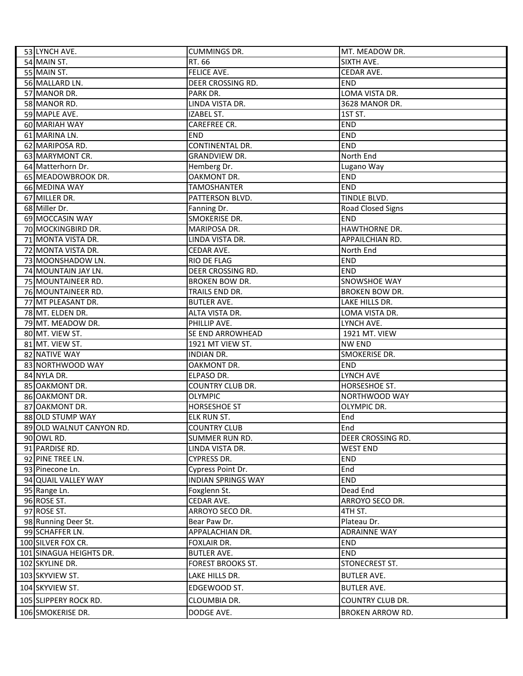| 53 LYNCH AVE.            | <b>CUMMINGS DR.</b>       | MT. MEADOW DR.          |
|--------------------------|---------------------------|-------------------------|
| 54 MAIN ST.              | RT. 66                    | SIXTH AVE.              |
| 55 MAIN ST.              | FELICE AVE.               | CEDAR AVE.              |
| 56 MALLARD LN.           | DEER CROSSING RD.         | <b>END</b>              |
| 57 MANOR DR.             | PARK DR.                  | LOMA VISTA DR.          |
| 58 MANOR RD.             | LINDA VISTA DR.           | 3628 MANOR DR.          |
| 59 MAPLE AVE.            | IZABEL ST.                | 1ST ST.                 |
| 60 MARIAH WAY            | CAREFREE CR.              | <b>END</b>              |
| 61 MARINA LN.            | <b>END</b>                | END                     |
| 62 MARIPOSA RD.          | <b>CONTINENTAL DR.</b>    | <b>END</b>              |
| 63 MARYMONT CR.          | <b>GRANDVIEW DR.</b>      | North End               |
| 64 Matterhorn Dr.        | Hemberg Dr.               | Lugano Way              |
| 65 MEADOWBROOK DR.       | OAKMONT DR.               | <b>END</b>              |
| 66 MEDINA WAY            | <b>TAMOSHANTER</b>        | <b>END</b>              |
| 67 MILLER DR.            | PATTERSON BLVD.           | TINDLE BLVD.            |
| 68 Miller Dr.            | Fanning Dr.               | Road Closed Signs       |
| 69 MOCCASIN WAY          | SMOKERISE DR.             | <b>END</b>              |
| 70 MOCKINGBIRD DR.       | MARIPOSA DR.              | HAWTHORNE DR.           |
| 71 MONTA VISTA DR.       | LINDA VISTA DR.           | APPAILCHIAN RD.         |
| 72 MONTA VISTA DR.       | CEDAR AVE.                | North End               |
| 73 MOONSHADOW LN.        | <b>RIO DE FLAG</b>        | <b>END</b>              |
| 74 MOUNTAIN JAY LN.      | DEER CROSSING RD.         | <b>END</b>              |
| 75 MOUNTAINEER RD.       | <b>BROKEN BOW DR.</b>     | SNOWSHOE WAY            |
| 76 MOUNTAINEER RD.       | TRAILS END DR.            | BROKEN BOW DR.          |
| 77 MT PLEASANT DR.       | <b>BUTLER AVE.</b>        | LAKE HILLS DR.          |
| 78 MT. ELDEN DR.         | ALTA VISTA DR.            | LOMA VISTA DR.          |
| 79 MT. MEADOW DR.        | PHILLIP AVE.              | LYNCH AVE.              |
| 80 MT. VIEW ST.          | SE END ARROWHEAD          | 1921 MT. VIEW           |
| 81 MT. VIEW ST.          | 1921 MT VIEW ST.          | <b>NW END</b>           |
| 82 NATIVE WAY            | <b>INDIAN DR.</b>         | SMOKERISE DR.           |
| 83 NORTHWOOD WAY         | OAKMONT DR.               | <b>END</b>              |
| 84 NYLA DR.              | ELPASO DR.                | LYNCH AVE               |
| 85 OAKMONT DR.           | <b>COUNTRY CLUB DR.</b>   | HORSESHOE ST.           |
| 86 OAKMONT DR.           | <b>OLYMPIC</b>            | NORTHWOOD WAY           |
| 87 OAKMONT DR.           | <b>HORSESHOE ST</b>       | OLYMPIC DR.             |
| 88 OLD STUMP WAY         | <b>ELK RUN ST.</b>        | End                     |
| 89 OLD WALNUT CANYON RD. | <b>COUNTRY CLUB</b>       | End                     |
| 90 OWL RD.               | <b>SUMMER RUN RD.</b>     | DEER CROSSING RD.       |
| 91 PARDISE RD.           | LINDA VISTA DR.           | <b>WEST END</b>         |
| 92 PINE TREE LN.         | <b>CYPRESS DR.</b>        | <b>END</b>              |
| 93 Pinecone Ln.          | Cypress Point Dr.         | End                     |
| 94 QUAIL VALLEY WAY      | <b>INDIAN SPRINGS WAY</b> | <b>END</b>              |
| 95 Range Ln.             | Foxglenn St.              | Dead End                |
| 96 ROSE ST.              | CEDAR AVE.                | ARROYO SECO DR.         |
| 97 ROSE ST.              | ARROYO SECO DR.           | 4TH ST.                 |
| 98 Running Deer St.      | Bear Paw Dr.              | Plateau Dr.             |
| 99 SCHAFFER LN.          | APPALACHIAN DR.           | <b>ADRAINNE WAY</b>     |
| 100 SILVER FOX CR.       | FOXLAIR DR.               | <b>END</b>              |
| 101 SINAGUA HEIGHTS DR.  | <b>BUTLER AVE.</b>        | <b>END</b>              |
| 102 SKYLINE DR.          | <b>FOREST BROOKS ST.</b>  | STONECREST ST.          |
| 103 SKYVIEW ST.          | LAKE HILLS DR.            | <b>BUTLER AVE.</b>      |
| 104 SKYVIEW ST.          | EDGEWOOD ST.              | <b>BUTLER AVE.</b>      |
|                          |                           |                         |
| 105 SLIPPERY ROCK RD.    | CLOUMBIA DR.              | COUNTRY CLUB DR.        |
| 106 SMOKERISE DR.        | DODGE AVE.                | <b>BROKEN ARROW RD.</b> |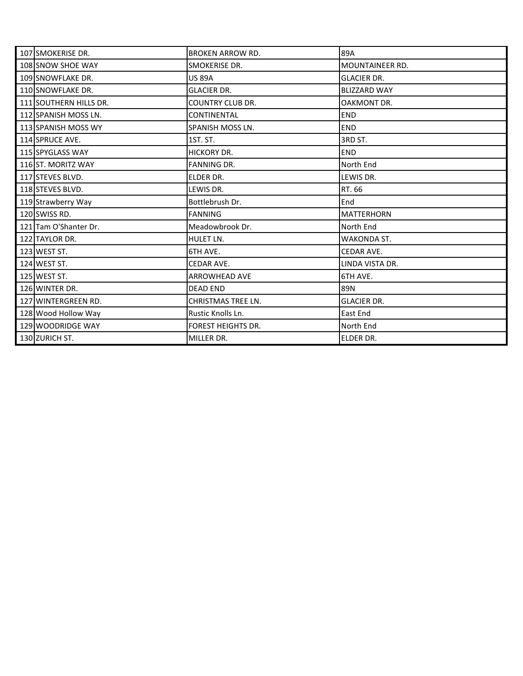| 107 SMOKERISE DR.      | <b>BROKEN ARROW RD.</b>   | 89A                    |
|------------------------|---------------------------|------------------------|
| 108 SNOW SHOE WAY      | SMOKERISE DR.             | <b>MOUNTAINEER RD.</b> |
| 109 SNOWFLAKE DR.      | <b>US 89A</b>             | <b>GLACIER DR.</b>     |
| 110 SNOWFLAKE DR.      | <b>GLACIER DR.</b>        | <b>BLIZZARD WAY</b>    |
| 111 SOUTHERN HILLS DR. | <b>COUNTRY CLUB DR.</b>   | OAKMONT DR.            |
| 112 SPANISH MOSS LN.   | <b>CONTINENTAL</b>        | <b>END</b>             |
| 113 SPANISH MOSS WY    | SPANISH MOSS LN.          | <b>END</b>             |
| 114 SPRUCE AVE.        | 1ST. ST.                  | 3RD ST.                |
| 115 SPYGLASS WAY       | HICKORY DR.               | <b>END</b>             |
| 116 ST. MORITZ WAY     | <b>FANNING DR.</b>        | North End              |
| 117 STEVES BLVD.       | ELDER DR.                 | LEWIS DR.              |
| 118 STEVES BLVD.       | LEWIS DR.                 | RT. 66                 |
| 119 Strawberry Way     | Bottlebrush Dr.           | End                    |
| 120 SWISS RD.          | <b>FANNING</b>            | <b>MATTERHORN</b>      |
| 121 Tam O'Shanter Dr.  | Meadowbrook Dr.           | North End              |
| 122 TAYLOR DR.         | HULET LN.                 | WAKONDA ST.            |
| 123 WEST ST.           | 6TH AVE.                  | CEDAR AVE.             |
| 124 WEST ST.           | CEDAR AVE.                | LINDA VISTA DR.        |
| 125 WEST ST.           | <b>ARROWHEAD AVE</b>      | 6TH AVE.               |
| 126 WINTER DR.         | <b>DEAD END</b>           | 89N                    |
| 127 WINTERGREEN RD.    | <b>CHRISTMAS TREE LN.</b> | <b>GLACIER DR.</b>     |
| 128 Wood Hollow Way    | Rustic Knolls Ln.         | East End               |
| 129 WOODRIDGE WAY      | <b>FOREST HEIGHTS DR.</b> | North End              |
| 130 ZURICH ST.         | MILLER DR.                | <b>ELDER DR.</b>       |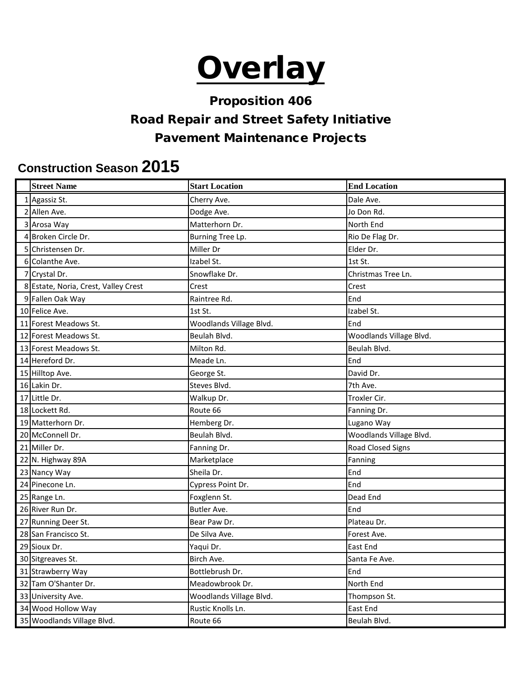# **Overlay**

## Proposition 406

## Road Repair and Street Safety Initiative

## Pavement Maintenance Projects

## **Construction Season 2015**

| <b>Street Name</b>                   | <b>Start Location</b>   | <b>End Location</b>     |
|--------------------------------------|-------------------------|-------------------------|
| 1 Agassiz St.                        | Cherry Ave.             | Dale Ave.               |
| 2 Allen Ave.                         | Dodge Ave.              | Jo Don Rd.              |
| 3 Arosa Way                          | Matterhorn Dr.          | North End               |
| 4 Broken Circle Dr.                  | Burning Tree Lp.        | Rio De Flag Dr.         |
| 5 Christensen Dr.                    | Miller Dr               | Elder Dr.               |
| 6 Colanthe Ave.                      | Izabel St.              | 1st St.                 |
| 7 Crystal Dr.                        | Snowflake Dr.           | Christmas Tree Ln.      |
| 8 Estate, Noria, Crest, Valley Crest | Crest                   | Crest                   |
| 9 Fallen Oak Way                     | Raintree Rd.            | End                     |
| 10 Felice Ave.                       | 1st St.                 | Izabel St.              |
| 11 Forest Meadows St.                | Woodlands Village Blvd. | End                     |
| 12 Forest Meadows St.                | Beulah Blvd.            | Woodlands Village Blvd. |
| 13 Forest Meadows St.                | Milton Rd.              | Beulah Blvd.            |
| 14 Hereford Dr.                      | Meade Ln.               | End                     |
| 15 Hilltop Ave.                      | George St.              | David Dr.               |
| 16 Lakin Dr.                         | Steves Blvd.            | 7th Ave.                |
| 17 Little Dr.                        | Walkup Dr.              | Troxler Cir.            |
| 18 Lockett Rd.                       | Route 66                | Fanning Dr.             |
| 19 Matterhorn Dr.                    | Hemberg Dr.             | Lugano Way              |
| 20 McConnell Dr.                     | Beulah Blvd.            | Woodlands Village Blvd. |
| 21 Miller Dr.                        | Fanning Dr.             | Road Closed Signs       |
| 22 N. Highway 89A                    | Marketplace             | Fanning                 |
| 23 Nancy Way                         | Sheila Dr.              | End                     |
| 24 Pinecone Ln.                      | Cypress Point Dr.       | End                     |
| 25 Range Ln.                         | Foxglenn St.            | Dead End                |
| 26 River Run Dr.                     | <b>Butler Ave.</b>      | End                     |
| 27 Running Deer St.                  | Bear Paw Dr.            | Plateau Dr.             |
| 28 San Francisco St.                 | De Silva Ave.           | Forest Ave.             |
| 29 Sioux Dr.                         | Yaqui Dr.               | East End                |
| 30 Sitgreaves St.                    | Birch Ave.              | Santa Fe Ave.           |
| 31 Strawberry Way                    | Bottlebrush Dr.         | End                     |
| 32 Tam O'Shanter Dr.                 | Meadowbrook Dr.         | North End               |
| 33 University Ave.                   | Woodlands Village Blvd. | Thompson St.            |
| 34 Wood Hollow Way                   | Rustic Knolls Ln.       | East End                |
| 35 Woodlands Village Blvd.           | Route 66                | Beulah Blvd.            |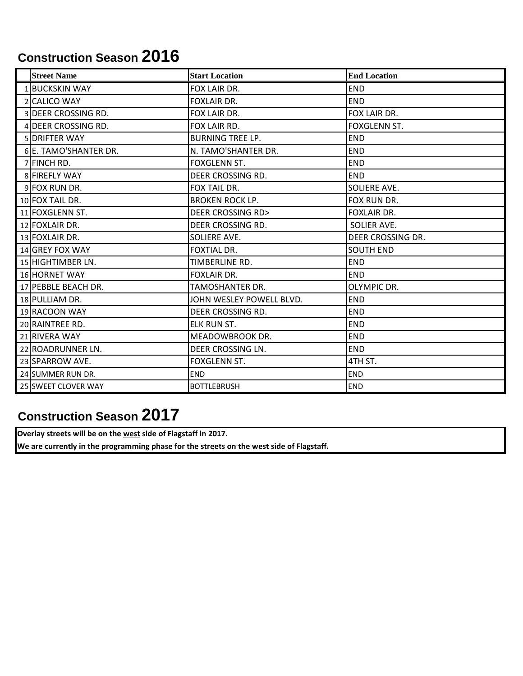# **Construction Season 2016**

| <b>Street Name</b>    | <b>Start Location</b>       | <b>End Location</b> |
|-----------------------|-----------------------------|---------------------|
| 1 BUCKSKIN WAY        | FOX LAIR DR.                | <b>END</b>          |
| 2 CALICO WAY          | <b>FOXLAIR DR.</b>          | <b>END</b>          |
| 3 DEER CROSSING RD.   | FOX LAIR DR.                | FOX LAIR DR.        |
| 4 DEER CROSSING RD.   | FOX LAIR RD.                | FOXGLENN ST.        |
| 5 DRIFTER WAY         | <b>BURNING TREE LP.</b>     | <b>END</b>          |
| 6 E. TAMO'SHANTER DR. | N. TAMO'SHANTER DR.         | <b>END</b>          |
| 7 FINCH RD.           | FOXGLENN ST.                | <b>END</b>          |
| 8 FIREFLY WAY         | DEER CROSSING RD.           | <b>END</b>          |
| 9 FOX RUN DR.         | FOX TAIL DR.                | SOLIERE AVE.        |
| 10 FOX TAIL DR.       | <b>BROKEN ROCK LP.</b>      | FOX RUN DR.         |
| 11 FOXGLENN ST.       | <b>DEER CROSSING RD&gt;</b> | FOXLAIR DR.         |
| 12 FOXLAIR DR.        | DEER CROSSING RD.           | SOLIER AVE.         |
| 13 FOXLAIR DR.        | SOLIERE AVE.                | DEER CROSSING DR.   |
| 14 GREY FOX WAY       | <b>FOXTIAL DR.</b>          | <b>SOUTH END</b>    |
| 15 HIGHTIMBER LN.     | TIMBERLINE RD.              | <b>END</b>          |
| 16 HORNET WAY         | <b>FOXLAIR DR.</b>          | <b>END</b>          |
| 17 PEBBLE BEACH DR.   | TAMOSHANTER DR.             | <b>OLYMPIC DR.</b>  |
| 18 PULLIAM DR.        | JOHN WESLEY POWELL BLVD.    | <b>END</b>          |
| 19 RACOON WAY         | DEER CROSSING RD.           | <b>END</b>          |
| 20 RAINTREE RD.       | <b>ELK RUN ST.</b>          | <b>END</b>          |
| 21 RIVERA WAY         | MEADOWBROOK DR.             | <b>END</b>          |
| 22 ROADRUNNER LN.     | DEER CROSSING LN.           | <b>END</b>          |
| 23 SPARROW AVE.       | FOXGLENN ST.                | 4TH ST.             |
| 24 SUMMER RUN DR.     | <b>END</b>                  | <b>END</b>          |
| 25 SWEET CLOVER WAY   | <b>BOTTLEBRUSH</b>          | <b>END</b>          |

# **Construction Season 2017**

**Overlay streets will be on the west side of Flagstaff in 2017.**

**We are currently in the programming phase for the streets on the west side of Flagstaff.**